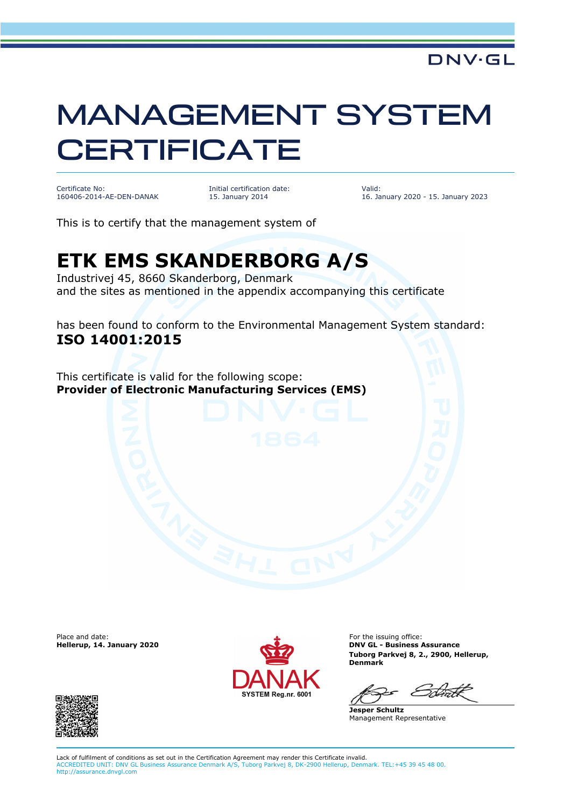## MANAGEMENT SYSTEM **CERTIFICATE**

Certificate No: 160406-2014-AE-DEN-DANAK Initial certification date: 15. January 2014

Valid: 16. January 2020 - 15. January 2023

This is to certify that the management system of

## **ETK EMS SKANDERBORG A/S**

Industrivej 45, 8660 Skanderborg, Denmark and the sites as mentioned in the appendix accompanying this certificate

has been found to conform to the Environmental Management System standard: **ISO 14001:2015**

This certificate is valid for the following scope: **Provider of Electronic Manufacturing Services (EMS)**

Place and date:<br>Hellerup, 14. January 2020



For the issuing office: **DNV GL - Business Assurance Tuborg Parkvej 8, 2., 2900, Hellerup, Denmark**

**Jesper Schultz** Management Representative



Lack of fulfilment of conditions as set out in the Certification Agreement may render this Certificate invalid. ACCREDITED UNIT: DNV GL Business Assurance Denmark A/S, Tuborg Parkvej 8, DK-2900 Hellerup, Denmark. TEL:+45 39 45 48 00. http://assurance.dnvgl.com